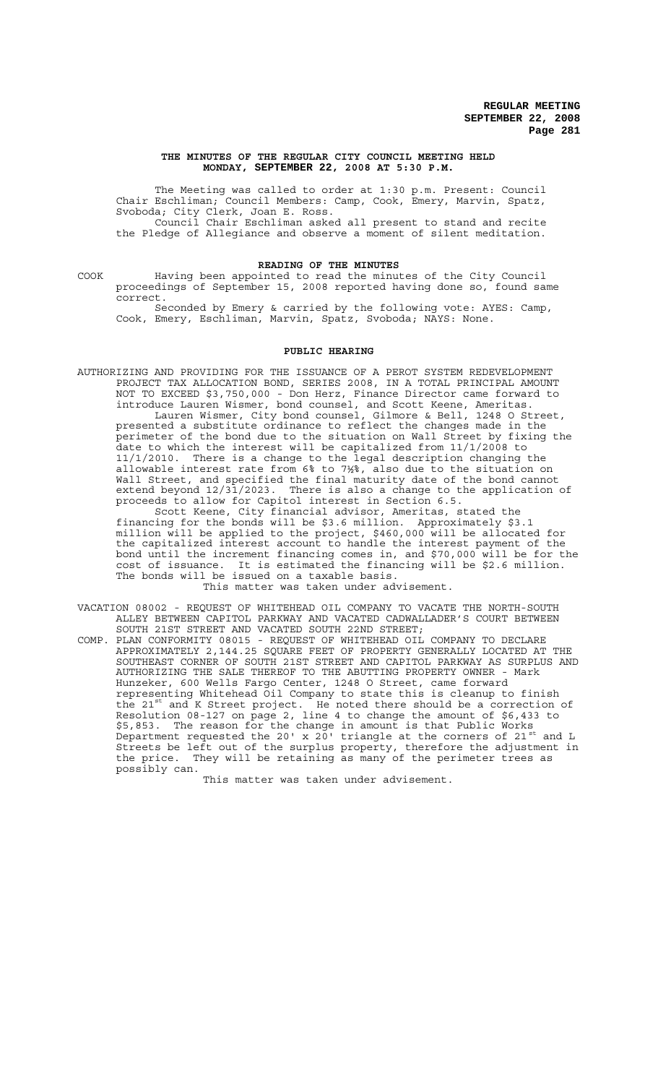#### **THE MINUTES OF THE REGULAR CITY COUNCIL MEETING HELD MONDAY, SEPTEMBER 22, 2008 AT 5:30 P.M.**

The Meeting was called to order at 1:30 p.m. Present: Council Chair Eschliman; Council Members: Camp, Cook, Emery, Marvin, Spatz, Svoboda; City Clerk, Joan E. Ross. Council Chair Eschliman asked all present to stand and recite

the Pledge of Allegiance and observe a moment of silent meditation.

# **READING OF THE MINUTES**

COOK Having been appointed to read the minutes of the City Council proceedings of September 15, 2008 reported having done so, found same correct.

Seconded by Emery & carried by the following vote: AYES: Camp, Cook, Emery, Eschliman, Marvin, Spatz, Svoboda; NAYS: None.

# **PUBLIC HEARING**

AUTHORIZING AND PROVIDING FOR THE ISSUANCE OF A PEROT SYSTEM REDEVELOPMENT PROJECT TAX ALLOCATION BOND, SERIES 2008, IN A TOTAL PRINCIPAL AMOUNT NOT TO EXCEED \$3,750,000 - Don Herz, Finance Director came forward to introduce Lauren Wismer, bond counsel, and Scott Keene, Ameritas. Lauren Wismer, City bond counsel, Gilmore & Bell, 1248 O Street, presented a substitute ordinance to reflect the changes made in the perimeter of the bond due to the situation on Wall Street by fixing the date to which the interest will be capitalized from 11/1/2008 to 11/1/2010. There is a change to the legal description changing the allowable interest rate from 6% to 7½%, also due to the situation on Wall Street, and specified the final maturity date of the bond cannot extend beyond 12/31/2023. There is also a change to the application of proceeds to allow for Capitol interest in Section 6.5.

Scott Keene, City financial advisor, Ameritas, stated the financing for the bonds will be \$3.6 million. Approximately \$3.1 million will be applied to the project, \$460,000 will be allocated for the capitalized interest account to handle the interest payment of the bond until the increment financing comes in, and \$70,000 will be for the cost of issuance. It is estimated the financing will be \$2.6 million. The bonds will be issued on a taxable basis. This matter was taken under advisement.

VACATION 08002 - REQUEST OF WHITEHEAD OIL COMPANY TO VACATE THE NORTH-SOUTH ALLEY BETWEEN CAPITOL PARKWAY AND VACATED CADWALLADER'S COURT BETWEEN

SOUTH 21ST STREET AND VACATED SOUTH 22ND STREET; COMP. PLAN CONFORMITY 08015 - REQUEST OF WHITEHEAD OIL COMPANY TO DECLARE APPROXIMATELY 2,144.25 SQUARE FEET OF PROPERTY GENERALLY LOCATED AT THE SOUTHEAST CORNER OF SOUTH 21ST STREET AND CAPITOL PARKWAY AS SURPLUS AND AUTHORIZING THE SALE THEREOF TO THE ABUTTING PROPERTY OWNER - Mark Hunzeker, 600 Wells Fargo Center, 1248 O Street, came forward representing Whitehead Oil Company to state this is cleanup to finish the 21<sup>st</sup> and K Street project. He noted there should be a correction of Resolution 08-127 on page 2, line 4 to change the amount of \$6,433 to \$5,853. The reason for the change in amount is that Public Works Department requested the 20' x 20' triangle at the corners of 21 $^{\rm st}$  and L Streets be left out of the surplus property, therefore the adjustment in the price. They will be retaining as many of the perimeter trees as possibly can.

This matter was taken under advisement.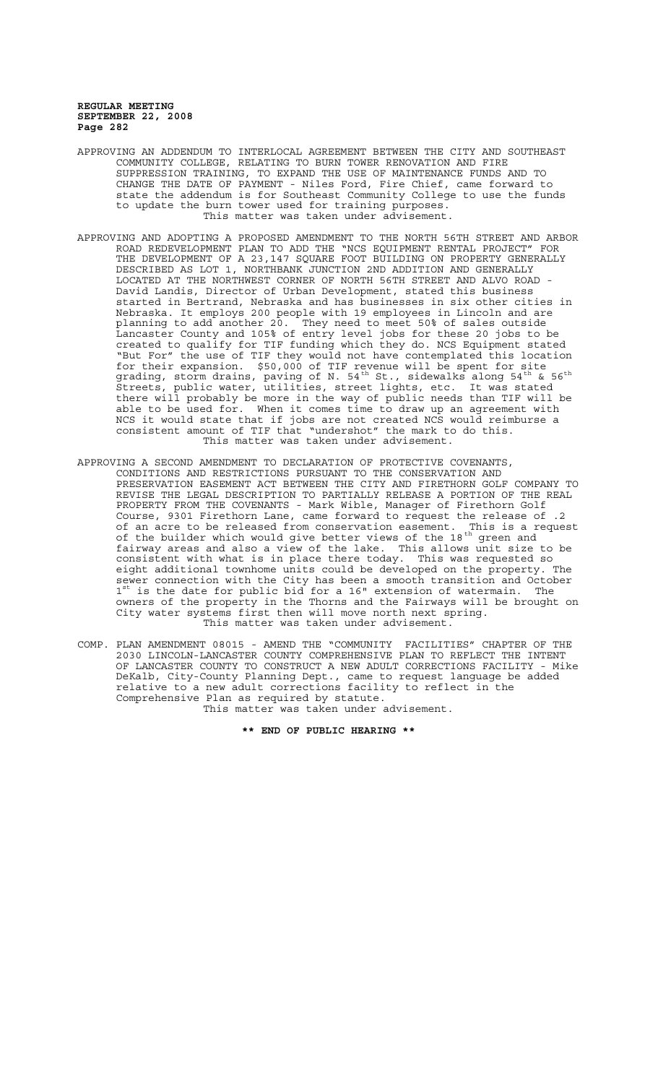- APPROVING AN ADDENDUM TO INTERLOCAL AGREEMENT BETWEEN THE CITY AND SOUTHEAST COMMUNITY COLLEGE, RELATING TO BURN TOWER RENOVATION AND FIRE SUPPRESSION TRAINING, TO EXPAND THE USE OF MAINTENANCE FUNDS AND TO CHANGE THE DATE OF PAYMENT - Niles Ford, Fire Chief, came forward to state the addendum is for Southeast Community College to use the funds to update the burn tower used for training purposes. This matter was taken under advisement.
- APPROVING AND ADOPTING A PROPOSED AMENDMENT TO THE NORTH 56TH STREET AND ARBOR ROAD REDEVELOPMENT PLAN TO ADD THE "NCS EQUIPMENT RENTAL PROJECT" FOR THE DEVELOPMENT OF A 23,147 SQUARE FOOT BUILDING ON PROPERTY GENERALLY DESCRIBED AS LOT 1, NORTHBANK JUNCTION 2ND ADDITION AND GENERALLY LOCATED AT THE NORTHWEST CORNER OF NORTH 56TH STREET AND ALVO ROAD David Landis, Director of Urban Development, stated this business started in Bertrand, Nebraska and has businesses in six other cities in Nebraska. It employs 200 people with 19 employees in Lincoln and are planning to add another 20. They need to meet 50% of sales outside Lancaster County and 105% of entry level jobs for these 20 jobs to be created to qualify for TIF funding which they do. NCS Equipment stated "But For" the use of TIF they would not have contemplated this location for their expansion. \$50,000 of TIF revenue will be spent for site grading, storm drains, paving of N. 54<sup>th</sup> St., sidewalks along 54<sup>th</sup> & 56<sup>th</sup> Streets, public water, utilities, street lights, etc. It was stated there will probably be more in the way of public needs than TIF will be able to be used for. When it comes time to draw up an agreement with NCS it would state that if jobs are not created NCS would reimburse a consistent amount of TIF that "undershot" the mark to do this. This matter was taken under advisement.
- APPROVING A SECOND AMENDMENT TO DECLARATION OF PROTECTIVE COVENANTS, CONDITIONS AND RESTRICTIONS PURSUANT TO THE CONSERVATION AND PRESERVATION EASEMENT ACT BETWEEN THE CITY AND FIRETHORN GOLF COMPANY TO REVISE THE LEGAL DESCRIPTION TO PARTIALLY RELEASE A PORTION OF THE REAL PROPERTY FROM THE COVENANTS - Mark Wible, Manager of Firethorn Golf Course, 9301 Firethorn Lane, came forward to request the release of .2 of an acre to be released from conservation easement. This is a request of the builder which would give better views of the 18 $^{\rm th}$  green and fairway areas and also a view of the lake. This allows unit size to be consistent with what is in place there today. This was requested so eight additional townhome units could be developed on the property. The sewer connection with the City has been a smooth transition and October  $1^{\text{st}}$  is the date for public bid for a 16" extension of watermain. The owners of the property in the Thorns and the Fairways will be brought on City water systems first then will move north next spring. This matter was taken under advisement.
- COMP. PLAN AMENDMENT 08015 AMEND THE "COMMUNITY FACILITIES" CHAPTER OF THE 2030 LINCOLN-LANCASTER COUNTY COMPREHENSIVE PLAN TO REFLECT THE INTENT OF LANCASTER COUNTY TO CONSTRUCT A NEW ADULT CORRECTIONS FACILITY - Mike DeKalb, City-County Planning Dept., came to request language be added relative to a new adult corrections facility to reflect in the Comprehensive Plan as required by statute. This matter was taken under advisement.

**\*\* END OF PUBLIC HEARING \*\***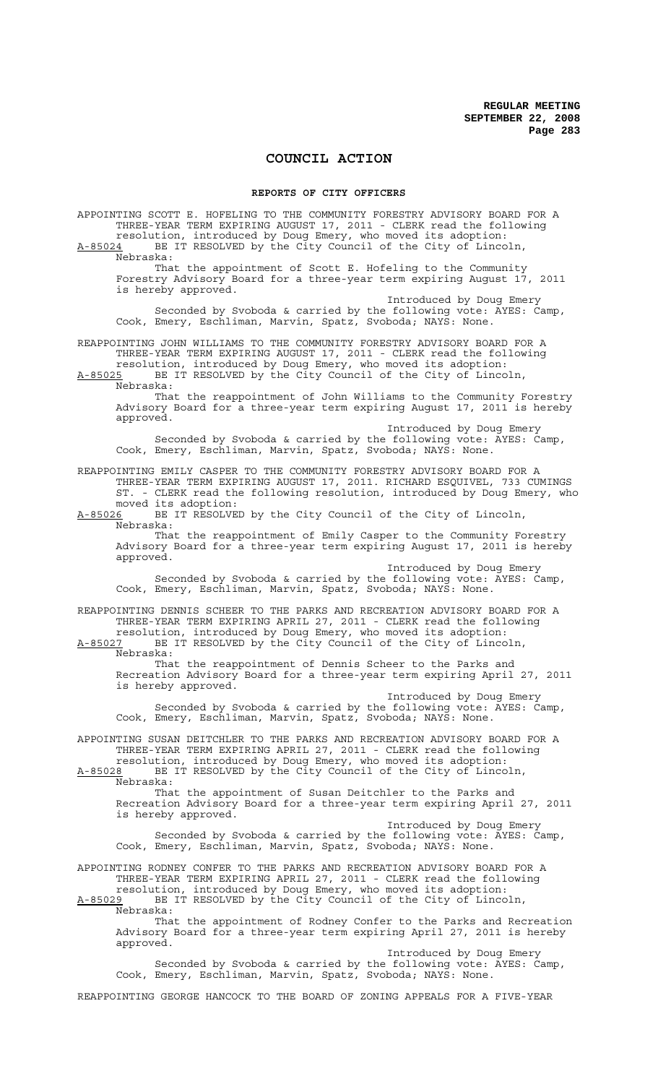# **COUNCIL ACTION**

### **REPORTS OF CITY OFFICERS**

APPOINTING SCOTT E. HOFELING TO THE COMMUNITY FORESTRY ADVISORY BOARD FOR A THREE-YEAR TERM EXPIRING AUGUST 17, 2011 - CLERK read the following resolution, introduced by Doug Emery, who moved its adoption: A-85024 BE IT RESOLVED by the City Council of the City of Lincoln, Nebraska: That the appointment of Scott E. Hofeling to the Community Forestry Advisory Board for a three-year term expiring August 17, 2011 is hereby approved. Introduced by Doug Emery Seconded by Svoboda & carried by the following vote: AYES: Camp, Cook, Emery, Eschliman, Marvin, Spatz, Svoboda; NAYS: None. REAPPOINTING JOHN WILLIAMS TO THE COMMUNITY FORESTRY ADVISORY BOARD FOR A THREE-YEAR TERM EXPIRING AUGUST 17, 2011 - CLERK read the following resolution, introduced by Doug Emery, who moved its adoption: A-85025 BE IT RESOLVED by the City Council of the City of Lincoln, Nebraska: That the reappointment of John Williams to the Community Forestry Advisory Board for a three-year term expiring August 17, 2011 is hereby approved. Introduced by Doug Emery Seconded by Svoboda & carried by the following vote: AYES: Camp, Cook, Emery, Eschliman, Marvin, Spatz, Svoboda; NAYS: None. REAPPOINTING EMILY CASPER TO THE COMMUNITY FORESTRY ADVISORY BOARD FOR A THREE-YEAR TERM EXPIRING AUGUST 17, 2011. RICHARD ESQUIVEL, 733 CUMINGS ST. - CLERK read the following resolution, introduced by Doug Emery, who moved its adoption:<br>A-85026 BE IT RESOLVE BE IT RESOLVED by the City Council of the City of Lincoln, Nebraska: That the reappointment of Emily Casper to the Community Forestry Advisory Board for a three-year term expiring August 17, 2011 is hereby approved. Introduced by Doug Emery Seconded by Svoboda & carried by the following vote: AYES: Camp, Cook, Emery, Eschliman, Marvin, Spatz, Svoboda; NAYS: None. REAPPOINTING DENNIS SCHEER TO THE PARKS AND RECREATION ADVISORY BOARD FOR A THREE-YEAR TERM EXPIRING APRIL 27, 2011 - CLERK read the following resolution, introduced by Doug Emery, who moved its adoption: A-85027 BE IT RESOLVED by the City Council of the City of Lincoln, Nebraska: That the reappointment of Dennis Scheer to the Parks and Recreation Advisory Board for a three-year term expiring April 27, 2011 is hereby approved. Introduced by Doug Emery Seconded by Svoboda & carried by the following vote: AYES: Camp, Cook, Emery, Eschliman, Marvin, Spatz, Svoboda; NAYS: None. APPOINTING SUSAN DEITCHLER TO THE PARKS AND RECREATION ADVISORY BOARD FOR A THREE-YEAR TERM EXPIRING APRIL 27, 2011 - CLERK read the following resolution, introduced by Doug Emery, who moved its adoption: A-85028 BE IT RESOLVED by the City Council of the City of Lincoln, Nebraska: That the appointment of Susan Deitchler to the Parks and Recreation Advisory Board for a three-year term expiring April 27, 2011 is hereby approved. Introduced by Doug Emery Seconded by Svoboda & carried by the following vote: AYES: Camp, Cook, Emery, Eschliman, Marvin, Spatz, Svoboda; NAYS: None. APPOINTING RODNEY CONFER TO THE PARKS AND RECREATION ADVISORY BOARD FOR A THREE-YEAR TERM EXPIRING APRIL 27, 2011 - CLERK read the following resolution, introduced by Doug Emery, who moved its adoption: A-85029 BE IT RESOLVED by the City Council of the City of Lincoln, Nebraska: That the appointment of Rodney Confer to the Parks and Recreation Advisory Board for a three-year term expiring April 27, 2011 is hereby approved. Introduced by Doug Emery

Seconded by Svoboda & carried by the following vote: AYES: Camp, Cook, Emery, Eschliman, Marvin, Spatz, Svoboda; NAYS: None.

REAPPOINTING GEORGE HANCOCK TO THE BOARD OF ZONING APPEALS FOR A FIVE-YEAR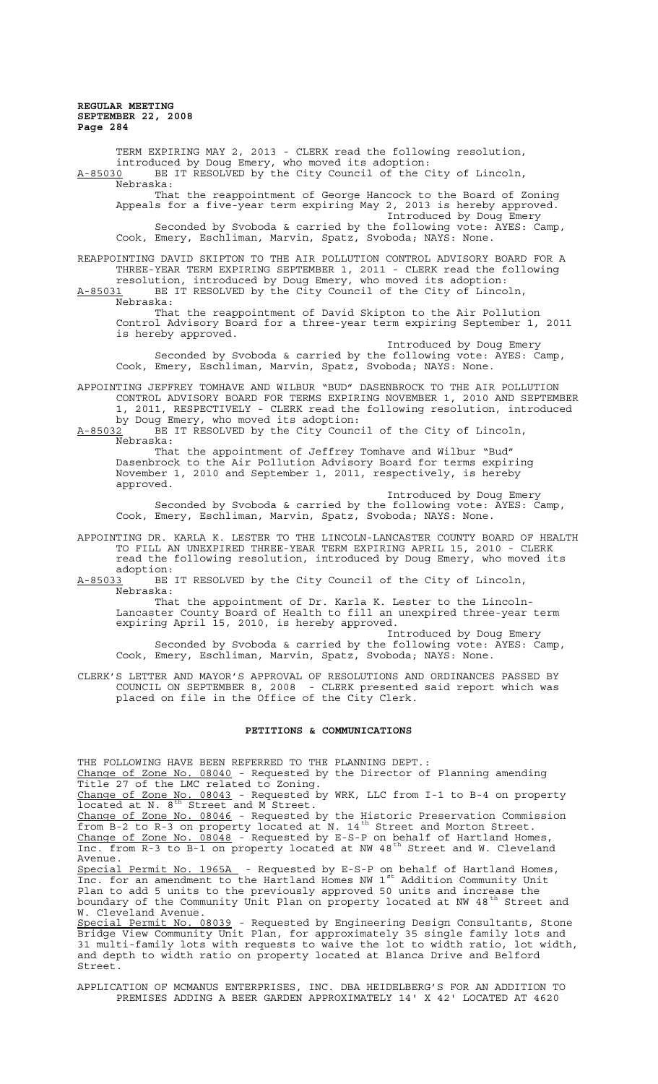TERM EXPIRING MAY 2, 2013 - CLERK read the following resolution, introduced by Doug Emery, who moved its adoption: A-85030 BE IT RESOLVED by the City Council of the City of Lincoln, Nebraska: That the reappointment of George Hancock to the Board of Zoning Appeals for a five-year term expiring May 2, 2013 is hereby approved. Introduced by Doug Emery Seconded by Svoboda & carried by the following vote: AYES: Camp, Cook, Emery, Eschliman, Marvin, Spatz, Svoboda; NAYS: None. REAPPOINTING DAVID SKIPTON TO THE AIR POLLUTION CONTROL ADVISORY BOARD FOR A THREE-YEAR TERM EXPIRING SEPTEMBER 1, 2011 - CLERK read the following resolution, introduced by Doug Emery, who moved its adoption: A-85031 BE IT RESOLVED by the City Council of the City of Lincoln, A-85031 BE J<br>Nebraska: That the reappointment of David Skipton to the Air Pollution Control Advisory Board for a three-year term expiring September 1, 2011 is hereby approved. Introduced by Doug Emery Seconded by Svoboda & carried by the following vote: AYES: Camp, Cook, Emery, Eschliman, Marvin, Spatz, Svoboda; NAYS: None. APPOINTING JEFFREY TOMHAVE AND WILBUR "BUD" DASENBROCK TO THE AIR POLLUTION CONTROL ADVISORY BOARD FOR TERMS EXPIRING NOVEMBER 1, 2010 AND SEPTEMBER 1, 2011, RESPECTIVELY - CLERK read the following resolution, introduced by Doug Emery, who moved its adoption:  $A-85032$  BE IT RESOLVED by the City Council of the City of Lincoln, Nebraska: That the appointment of Jeffrey Tomhave and Wilbur "Bud" Dasenbrock to the Air Pollution Advisory Board for terms expiring November 1, 2010 and September 1, 2011, respectively, is hereby approved. Introduced by Doug Emery Seconded by Svoboda & carried by the following vote: AYES: Camp, Cook, Emery, Eschliman, Marvin, Spatz, Svoboda; NAYS: None. APPOINTING DR. KARLA K. LESTER TO THE LINCOLN-LANCASTER COUNTY BOARD OF HEALTH TO FILL AN UNEXPIRED THREE-YEAR TERM EXPIRING APRIL 15, 2010 - CLERK read the following resolution, introduced by Doug Emery, who moved its adoption: A-85033 BE IT RESOLVED by the City Council of the City of Lincoln, Nebraska: That the appointment of Dr. Karla K. Lester to the Lincoln-Lancaster County Board of Health to fill an unexpired three-year term expiring April 15, 2010, is hereby approved. Introduced by Doug Emery Seconded by Svoboda & carried by the following vote: AYES: Camp, Cook, Emery, Eschliman, Marvin, Spatz, Svoboda; NAYS: None.

CLERK'S LETTER AND MAYOR'S APPROVAL OF RESOLUTIONS AND ORDINANCES PASSED BY COUNCIL ON SEPTEMBER 8, 2008 - CLERK presented said report which was placed on file in the Office of the City Clerk.

#### **PETITIONS & COMMUNICATIONS**

THE FOLLOWING HAVE BEEN REFERRED TO THE PLANNING DEPT.: Change of Zone No. 08040 - Requested by the Director of Planning amending Title 27 of the LMC related to Zoning.

Change of Zone No. 08043 - Requested by WRK, LLC from I-1 to B-4 on property **Ending Collection** Covers Required .

Change of Zone No. 08046 - Requested by the Historic Preservation Commission from B-2 to R-3 on property located at N. 14<sup>th</sup> Street and Morton Street. Change of Zone No. 08048 - Requested by E-S-P on behalf of Hartland Homes, Inc. from R-3 to B-1 on property located at NW 48<sup>th</sup> Street and W. Cleveland Avenue.

Special Permit No. 1965A - Requested by E-S-P on behalf of Hartland Homes, Inc. for an amendment to the Hartland Homes NW 1st Addition Community Unit Plan to add 5 units to the previously approved 50 units and increase the boundary of the Community Unit Plan on property located at NW 48<sup>th</sup> Street and W. Cleveland Avenue.

Special Permit No. 08039 - Requested by Engineering Design Consultants, Stone Bridge View Community Unit Plan, for approximately 35 single family lots and 31 multi-family lots with requests to waive the lot to width ratio, lot width, and depth to width ratio on property located at Blanca Drive and Belford Street.

APPLICATION OF MCMANUS ENTERPRISES, INC. DBA HEIDELBERG'S FOR AN ADDITION TO PREMISES ADDING A BEER GARDEN APPROXIMATELY 14' X 42' LOCATED AT 4620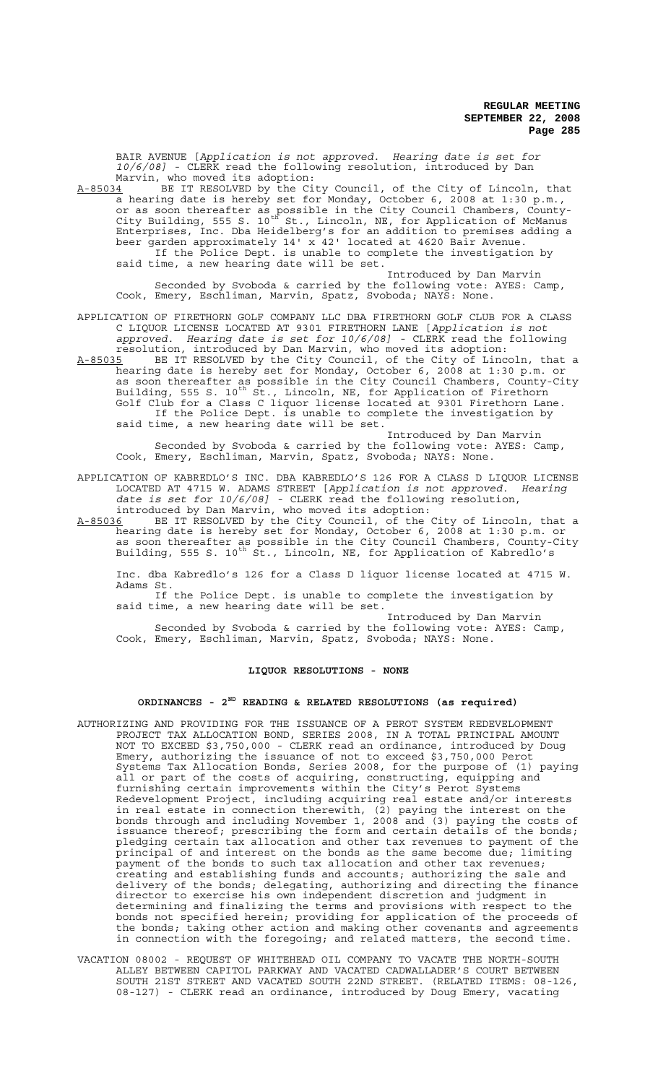BAIR AVENUE [*Application is not approved. Hearing date is set for 10/6/08]* - CLERK read the following resolution, introduced by Dan Marvin, who moved its adoption:

A-85034 BE IT RESOLVED by the City Council, of the City of Lincoln, that a hearing date is hereby set for Monday, October 6, 2008 at 1:30 p.m., or as soon thereafter as possible in the City Council Chambers, County-City Building, 555 S. 10<sup>th</sup> St., Lincoln, NE, for Application of McManus Enterprises, Inc. Dba Heidelberg's for an addition to premises adding a beer garden approximately 14' x 42' located at 4620 Bair Avenue. If the Police Dept. is unable to complete the investigation by said time, a new hearing date will be set.

Introduced by Dan Marvin Seconded by Svoboda & carried by the following vote: AYES: Camp, Cook, Emery, Eschliman, Marvin, Spatz, Svoboda; NAYS: None.

APPLICATION OF FIRETHORN GOLF COMPANY LLC DBA FIRETHORN GOLF CLUB FOR A CLASS C LIQUOR LICENSE LOCATED AT 9301 FIRETHORN LANE [*Application is not approved. Hearing date is set for 10/6/08]* - CLERK read the following resolution, introduced by Dan Marvin, who moved its adoption:

A-85035 BE IT RESOLVED by the City Council, of the City of Lincoln, that a hearing date is hereby set for Monday, October 6, 2008 at 1:30 p.m. or as soon thereafter as possible in the City Council Chambers, County-City Building, 555 S. 10<sup>th</sup> St., Lincoln, NE, for Application of Firethorn Golf Club for a Class C liquor license located at 9301 Firethorn Lane. If the Police Dept. is unable to complete the investigation by said time, a new hearing date will be set.

Introduced by Dan Marvin Seconded by Svoboda & carried by the following vote: AYES: Camp, Cook, Emery, Eschliman, Marvin, Spatz, Svoboda; NAYS: None.

#### APPLICATION OF KABREDLO'S INC. DBA KABREDLO'S 126 FOR A CLASS D LIQUOR LICENSE LOCATED AT 4715 W. ADAMS STREET [*Application is not approved. Hearing date is set for 10/6/08]* - CLERK read the following resolution, introduced by Dan Marvin, who moved its adoption:

A-85036 BE IT RESOLVED by the City Council, of the City of Lincoln, that a hearing date is hereby set for Monday, October 6, 2008 at 1:30 p.m. or as soon thereafter as possible in the City Council Chambers, County-City Building, 555 S. 10<sup>th</sup> St., Lincoln, NE, for Application of Kabredlo's

Inc. dba Kabredlo's 126 for a Class D liquor license located at 4715 W. Adams St.

If the Police Dept. is unable to complete the investigation by said time, a new hearing date will be set.

Introduced by Dan Marvin Seconded by Svoboda & carried by the following vote: AYES: Camp, Cook, Emery, Eschliman, Marvin, Spatz, Svoboda; NAYS: None.

#### **LIQUOR RESOLUTIONS - NONE**

# **ORDINANCES - 2ND READING & RELATED RESOLUTIONS (as required)**

- AUTHORIZING AND PROVIDING FOR THE ISSUANCE OF A PEROT SYSTEM REDEVELOPMENT PROJECT TAX ALLOCATION BOND, SERIES 2008, IN A TOTAL PRINCIPAL AMOUNT NOT TO EXCEED \$3,750,000 - CLERK read an ordinance, introduced by Doug Emery, authorizing the issuance of not to exceed \$3,750,000 Perot Systems Tax Allocation Bonds, Series 2008, for the purpose of (1) paying all or part of the costs of acquiring, constructing, equipping and furnishing certain improvements within the City's Perot Systems Redevelopment Project, including acquiring real estate and/or interests in real estate in connection therewith, (2) paying the interest on the bonds through and including November 1, 2008 and (3) paying the costs of issuance thereof; prescribing the form and certain details of the bonds; pledging certain tax allocation and other tax revenues to payment of the principal of and interest on the bonds as the same become due; limiting payment of the bonds to such tax allocation and other tax revenues; creating and establishing funds and accounts; authorizing the sale and delivery of the bonds; delegating, authorizing and directing the finance director to exercise his own independent discretion and judgment in determining and finalizing the terms and provisions with respect to the bonds not specified herein; providing for application of the proceeds of the bonds; taking other action and making other covenants and agreements in connection with the foregoing; and related matters, the second time.
- VACATION 08002 REQUEST OF WHITEHEAD OIL COMPANY TO VACATE THE NORTH-SOUTH ALLEY BETWEEN CAPITOL PARKWAY AND VACATED CADWALLADER'S COURT BETWEEN SOUTH 21ST STREET AND VACATED SOUTH 22ND STREET. (RELATED ITEMS: 08-126, 08-127) - CLERK read an ordinance, introduced by Doug Emery, vacating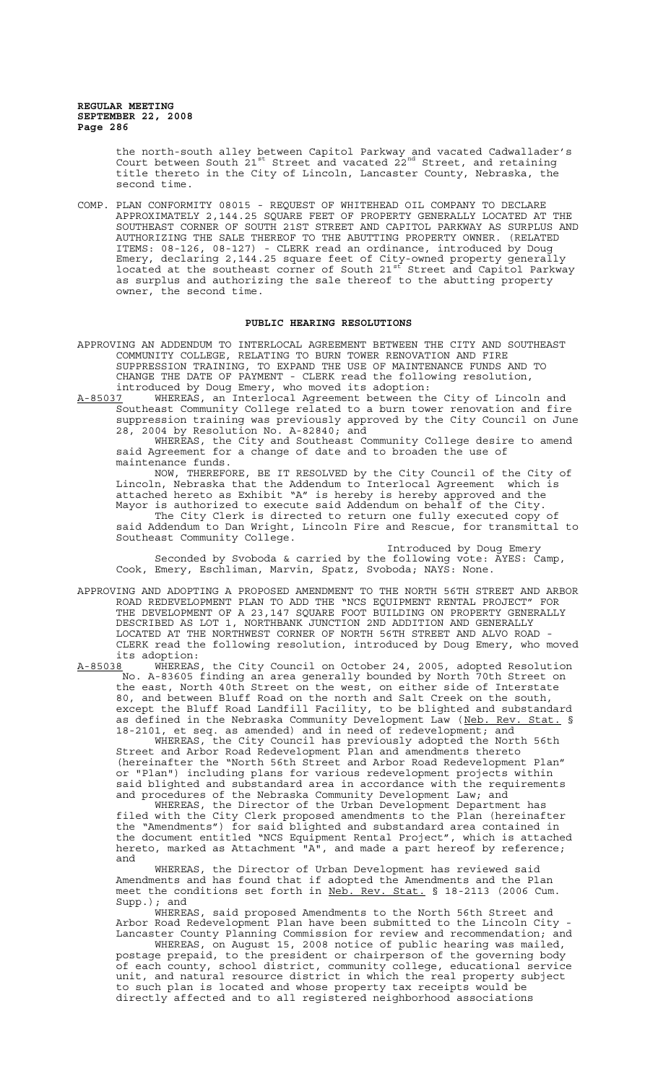the north-south alley between Capitol Parkway and vacated Cadwallader's Court between South  $21^{st}$  Street and vacated  $22^{nd}$  Street, and retaining title thereto in the City of Lincoln, Lancaster County, Nebraska, the second time.

COMP. PLAN CONFORMITY 08015 - REQUEST OF WHITEHEAD OIL COMPANY TO DECLARE APPROXIMATELY 2,144.25 SQUARE FEET OF PROPERTY GENERALLY LOCATED AT THE SOUTHEAST CORNER OF SOUTH 21ST STREET AND CAPITOL PARKWAY AS SURPLUS AND AUTHORIZING THE SALE THEREOF TO THE ABUTTING PROPERTY OWNER. (RELATED ITEMS: 08-126, 08-127) - CLERK read an ordinance, introduced by Doug Emery, declaring 2,144.25 square feet of City-owned property generally located at the southeast corner of South 21st Street and Capitol Parkway as surplus and authorizing the sale thereof to the abutting property owner, the second time.

## **PUBLIC HEARING RESOLUTIONS**

APPROVING AN ADDENDUM TO INTERLOCAL AGREEMENT BETWEEN THE CITY AND SOUTHEAST COMMUNITY COLLEGE, RELATING TO BURN TOWER RENOVATION AND FIRE SUPPRESSION TRAINING, TO EXPAND THE USE OF MAINTENANCE FUNDS AND TO CHANGE THE DATE OF PAYMENT - CLERK read the following resolution, introduced by Doug Emery, who moved its adoption:

A-85037 WHEREAS, an Interlocal Agreement between the City of Lincoln and Southeast Community College related to a burn tower renovation and fire suppression training was previously approved by the City Council on June 28, 2004 by Resolution No. A-82840; and

WHEREAS, the City and Southeast Community College desire to amend said Agreement for a change of date and to broaden the use of maintenance funds.

NOW, THEREFORE, BE IT RESOLVED by the City Council of the City of Lincoln, Nebraska that the Addendum to Interlocal Agreement which is attached hereto as Exhibit "A" is hereby is hereby approved and the Mayor is authorized to execute said Addendum on behalf of the City. The City Clerk is directed to return one fully executed copy of said Addendum to Dan Wright, Lincoln Fire and Rescue, for transmittal to Southeast Community College.

Introduced by Doug Emery Seconded by Svoboda & carried by the following vote: AYES: Camp, Cook, Emery, Eschliman, Marvin, Spatz, Svoboda; NAYS: None.

APPROVING AND ADOPTING A PROPOSED AMENDMENT TO THE NORTH 56TH STREET AND ARBOR ROAD REDEVELOPMENT PLAN TO ADD THE "NCS EQUIPMENT RENTAL PROJECT" FOR THE DEVELOPMENT OF A 23,147 SQUARE FOOT BUILDING ON PROPERTY GENERALLY DESCRIBED AS LOT 1, NORTHBANK JUNCTION 2ND ADDITION AND GENERALLY LOCATED AT THE NORTHWEST CORNER OF NORTH 56TH STREET AND ALVO ROAD - CLERK read the following resolution, introduced by Doug Emery, who moved its adoption:<br>A-85038 WHEREAS

A-85038 WHEREAS, the City Council on October 24, 2005, adopted Resolution No. A-83605 finding an area generally bounded by North 70th Street on the east, North 40th Street on the west, on either side of Interstate 80, and between Bluff Road on the north and Salt Creek on the south, except the Bluff Road Landfill Facility, to be blighted and substandard as defined in the Nebraska Community Development Law (Neb. Rev. Stat. § 18-2101, et seq. as amended) and in need of redevelopment; and

WHEREAS, the City Council has previously adopted the North 56th Street and Arbor Road Redevelopment Plan and amendments thereto (hereinafter the "North 56th Street and Arbor Road Redevelopment Plan" or "Plan") including plans for various redevelopment projects within said blighted and substandard area in accordance with the requirements and procedures of the Nebraska Community Development Law; and

WHEREAS, the Director of the Urban Development Department has filed with the City Clerk proposed amendments to the Plan (hereinafter the "Amendments") for said blighted and substandard area contained in the document entitled "NCS Equipment Rental Project", which is attached hereto, marked as Attachment "A", and made a part hereof by reference; and

WHEREAS, the Director of Urban Development has reviewed said Amendments and has found that if adopted the Amendments and the Plan meet the conditions set forth in Neb. Rev. Stat. § 18-2113 (2006 Cum. Supp.); and

WHEREAS, said proposed Amendments to the North 56th Street and Arbor Road Redevelopment Plan have been submitted to the Lincoln City - Lancaster County Planning Commission for review and recommendation; and

WHEREAS, on August 15, 2008 notice of public hearing was mailed, postage prepaid, to the president or chairperson of the governing body of each county, school district, community college, educational service unit, and natural resource district in which the real property subject to such plan is located and whose property tax receipts would be directly affected and to all registered neighborhood associations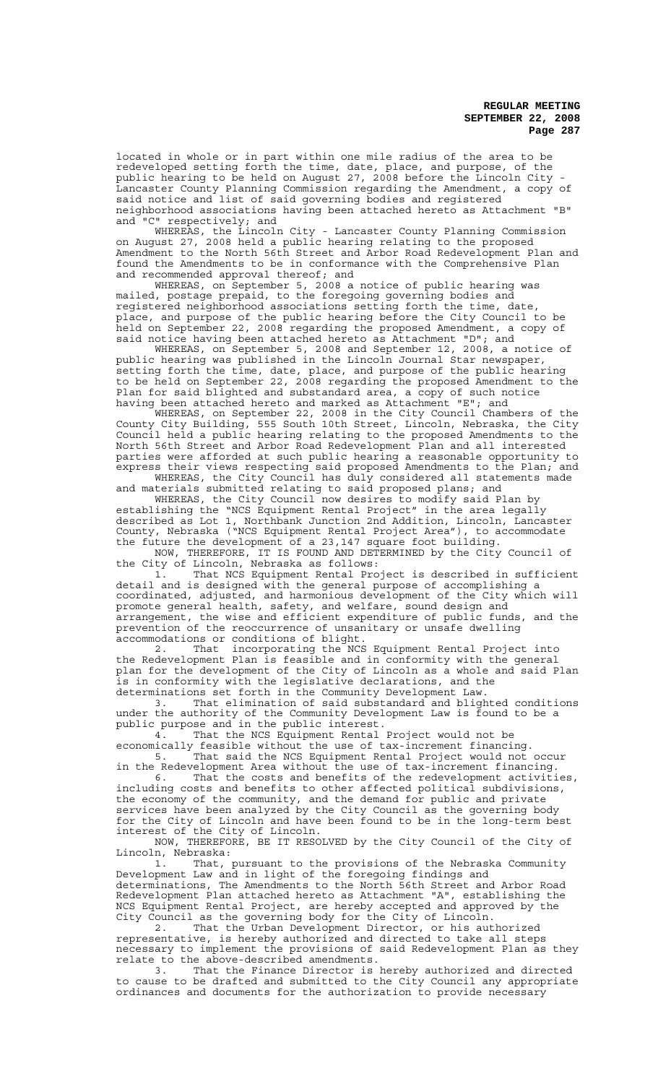located in whole or in part within one mile radius of the area to be redeveloped setting forth the time, date, place, and purpose, of the public hearing to be held on August 27, 2008 before the Lincoln City - Lancaster County Planning Commission regarding the Amendment, a copy of said notice and list of said governing bodies and registered neighborhood associations having been attached hereto as Attachment "B"<br>and "C" respectively; and respectively; and

WHEREAS, the Lincoln City - Lancaster County Planning Commission on August 27, 2008 held a public hearing relating to the proposed Amendment to the North 56th Street and Arbor Road Redevelopment Plan and found the Amendments to be in conformance with the Comprehensive Plan and recommended approval thereof; and

WHEREAS, on September 5, 2008 a notice of public hearing was mailed, postage prepaid, to the foregoing governing bodies and registered neighborhood associations setting forth the time, date, place, and purpose of the public hearing before the City Council to be held on September 22, 2008 regarding the proposed Amendment, a copy of said notice having been attached hereto as Attachment "D"; and

WHEREAS, on September 5, 2008 and September 12, 2008, a notice of public hearing was published in the Lincoln Journal Star newspaper, setting forth the time, date, place, and purpose of the public hearing to be held on September 22, 2008 regarding the proposed Amendment to the Plan for said blighted and substandard area, a copy of such notice having been attached hereto and marked as Attachment "E"; and

WHEREAS, on September 22, 2008 in the City Council Chambers of the County City Building, 555 South 10th Street, Lincoln, Nebraska, the City Council held a public hearing relating to the proposed Amendments to the North 56th Street and Arbor Road Redevelopment Plan and all interested parties were afforded at such public hearing a reasonable opportunity to express their views respecting said proposed Amendments to the Plan; and WHEREAS, the City Council has duly considered all statements made

and materials submitted relating to said proposed plans; and WHEREAS, the City Council now desires to modify said Plan by establishing the "NCS Equipment Rental Project" in the area legally described as Lot 1, Northbank Junction 2nd Addition, Lincoln, Lancaster County, Nebraska ("NCS Equipment Rental Project Area"), to accommodate the future the development of a 23,147 square foot building.

NOW, THEREFORE, IT IS FOUND AND DETERMINED by the City Council of the City of Lincoln, Nebraska as follows:

1. That NCS Equipment Rental Project is described in sufficient detail and is designed with the general purpose of accomplishing a coordinated, adjusted, and harmonious development of the City which will promote general health, safety, and welfare, sound design and arrangement, the wise and efficient expenditure of public funds, and the prevention of the reoccurrence of unsanitary or unsafe dwelling accommodations or conditions of blight.

2. That incorporating the NCS Equipment Rental Project into the Redevelopment Plan is feasible and in conformity with the general plan for the development of the City of Lincoln as a whole and said Plan is in conformity with the legislative declarations, and the determinations set forth in the Community Development Law.

3. That elimination of said substandard and blighted conditions under the authority of the Community Development Law is found to be a public purpose and in the public interest.

4. That the NCS Equipment Rental Project would not be economically feasible without the use of tax-increment financing. 5. That said the NCS Equipment Rental Project would not occur

in the Redevelopment Area without the use of tax-increment financing. 6. That the costs and benefits of the redevelopment activities, including costs and benefits to other affected political subdivisions,

the economy of the community, and the demand for public and private services have been analyzed by the City Council as the governing body for the City of Lincoln and have been found to be in the long-term best interest of the City of Lincoln.

NOW, THEREFORE, BE IT RESOLVED by the City Council of the City of Lincoln, Nebraska:

1. That, pursuant to the provisions of the Nebraska Community Development Law and in light of the foregoing findings and determinations, The Amendments to the North 56th Street and Arbor Road Redevelopment Plan attached hereto as Attachment "A", establishing the NCS Equipment Rental Project, are hereby accepted and approved by the City Council as the governing body for the City of Lincoln.

2. That the Urban Development Director, or his authorized representative, is hereby authorized and directed to take all steps necessary to implement the provisions of said Redevelopment Plan as they relate to the above-described amendments.<br>3. That the Finance Director is

That the Finance Director is hereby authorized and directed to cause to be drafted and submitted to the City Council any appropriate ordinances and documents for the authorization to provide necessary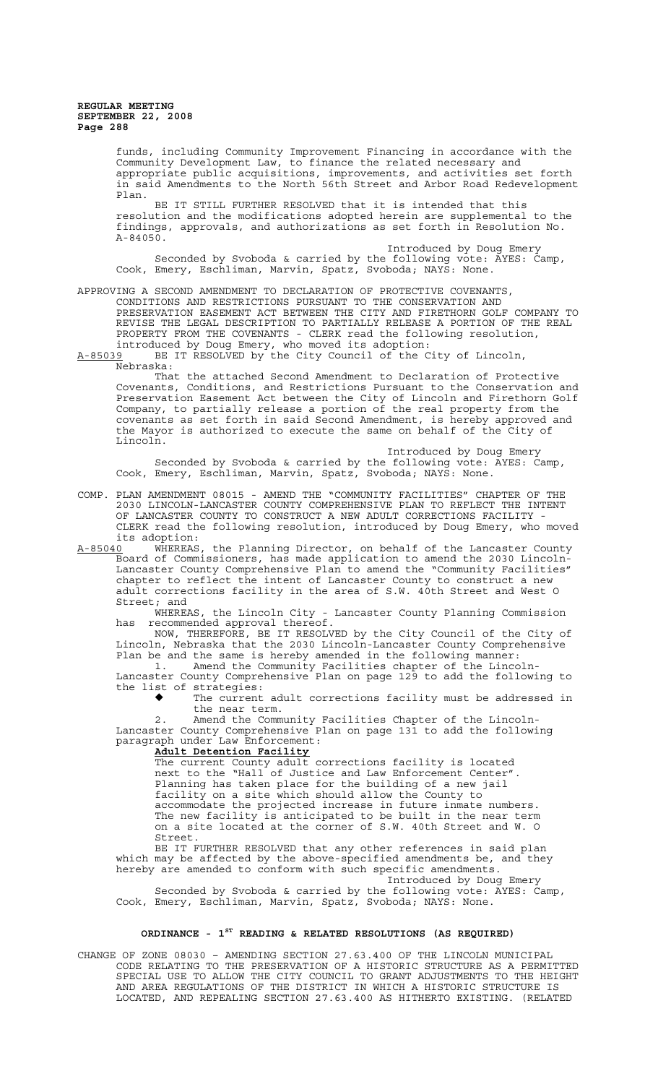funds, including Community Improvement Financing in accordance with the Community Development Law, to finance the related necessary and appropriate public acquisitions, improvements, and activities set forth in said Amendments to the North 56th Street and Arbor Road Redevelopment Plan.

BE IT STILL FURTHER RESOLVED that it is intended that this resolution and the modifications adopted herein are supplemental to the findings, approvals, and authorizations as set forth in Resolution No. A-84050.

Introduced by Doug Emery Seconded by Svoboda & carried by the following vote: AYES: Camp, Cook, Emery, Eschliman, Marvin, Spatz, Svoboda; NAYS: None.

# APPROVING A SECOND AMENDMENT TO DECLARATION OF PROTECTIVE COVENANTS,

CONDITIONS AND RESTRICTIONS PURSUANT TO THE CONSERVATION AND PRESERVATION EASEMENT ACT BETWEEN THE CITY AND FIRETHORN GOLF COMPANY TO REVISE THE LEGAL DESCRIPTION TO PARTIALLY RELEASE A PORTION OF THE REAL PROPERTY FROM THE COVENANTS - CLERK read the following resolution, introduced by Doug Emery, who moved its adoption:

A-85039 BE IT RESOLVED by the City Council of the City of Lincoln, Nebraska:

That the attached Second Amendment to Declaration of Protective Covenants, Conditions, and Restrictions Pursuant to the Conservation and Preservation Easement Act between the City of Lincoln and Firethorn Golf Company, to partially release a portion of the real property from the covenants as set forth in said Second Amendment, is hereby approved and the Mayor is authorized to execute the same on behalf of the City of Lincoln.

Introduced by Doug Emery Seconded by Svoboda & carried by the following vote: AYES: Camp, Cook, Emery, Eschliman, Marvin, Spatz, Svoboda; NAYS: None.

COMP. PLAN AMENDMENT 08015 - AMEND THE "COMMUNITY FACILITIES" CHAPTER OF THE 2030 LINCOLN-LANCASTER COUNTY COMPREHENSIVE PLAN TO REFLECT THE INTENT OF LANCASTER COUNTY TO CONSTRUCT A NEW ADULT CORRECTIONS FACILITY CLERK read the following resolution, introduced by Doug Emery, who moved its adoption:<br><u>A-85040</u> WHEREAS

A-85040 WHEREAS, the Planning Director, on behalf of the Lancaster County Board of Commissioners, has made application to amend the 2030 Lincoln-Lancaster County Comprehensive Plan to amend the "Community Facilities" chapter to reflect the intent of Lancaster County to construct a new adult corrections facility in the area of S.W. 40th Street and West O Street; and

WHEREAS, the Lincoln City - Lancaster County Planning Commission has recommended approval thereof.

NOW, THEREFORE, BE IT RESOLVED by the City Council of the City of Lincoln, Nebraska that the 2030 Lincoln-Lancaster County Comprehensive Plan be and the same is hereby amended in the following manner: 1. Amend the Community Facilities chapter of the Lincoln-

Lancaster County Comprehensive Plan on page 129 to add the following to the list of strategies:

The current adult corrections facility must be addressed in the near term.

Amend the Community Facilities Chapter of the Lincoln-Lancaster County Comprehensive Plan on page 131 to add the following paragraph under Law Enforcement:

### **Adult Detention Facility**

The current County adult corrections facility is located next to the "Hall of Justice and Law Enforcement Center". Planning has taken place for the building of a new jail facility on a site which should allow the County to accommodate the projected increase in future inmate numbers. The new facility is anticipated to be built in the near term on a site located at the corner of S.W. 40th Street and W. O Street.

BE IT FURTHER RESOLVED that any other references in said plan which may be affected by the above-specified amendments be, and they hereby are amended to conform with such specific amendments.

Introduced by Doug Emery Seconded by Svoboda & carried by the following vote: AYES: Camp, Cook, Emery, Eschliman, Marvin, Spatz, Svoboda; NAYS: None.

## **ORDINANCE - 1ST READING & RELATED RESOLUTIONS (AS REQUIRED)**

CHANGE OF ZONE 08030 – AMENDING SECTION 27.63.400 OF THE LINCOLN MUNICIPAL CODE RELATING TO THE PRESERVATION OF A HISTORIC STRUCTURE AS A PERMITTED SPECIAL USE TO ALLOW THE CITY COUNCIL TO GRANT ADJUSTMENTS TO THE HEIGHT AND AREA REGULATIONS OF THE DISTRICT IN WHICH A HISTORIC STRUCTURE IS LOCATED, AND REPEALING SECTION 27.63.400 AS HITHERTO EXISTING. (RELATED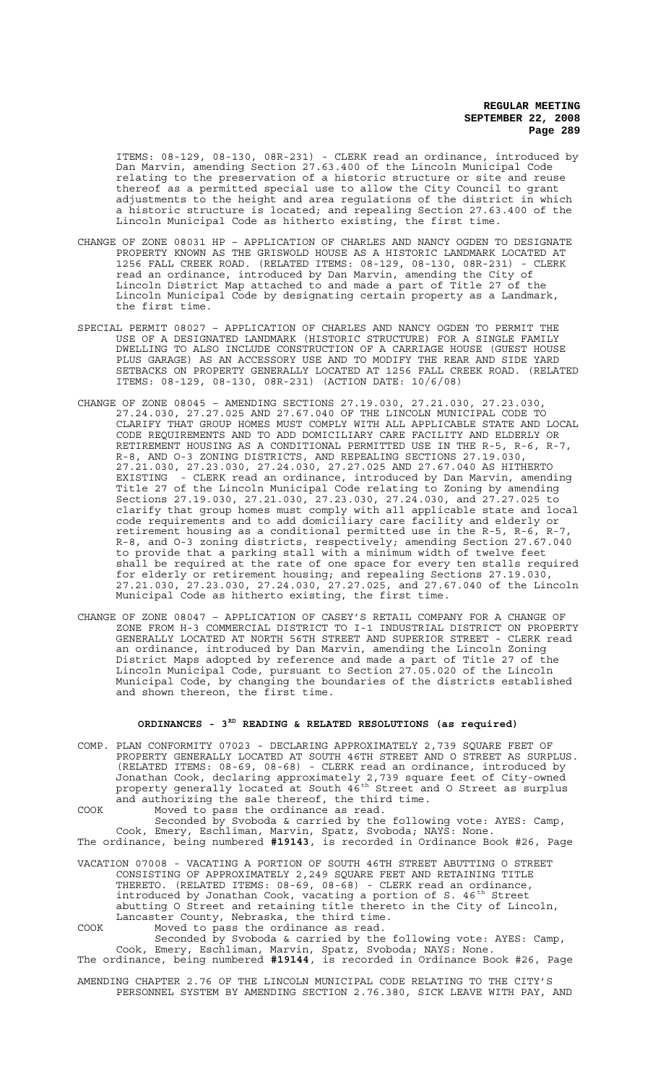ITEMS: 08-129, 08-130, 08R-231) - CLERK read an ordinance, introduced by Dan Marvin, amending Section 27.63.400 of the Lincoln Municipal Code relating to the preservation of a historic structure or site and reuse thereof as a permitted special use to allow the City Council to grant adjustments to the height and area regulations of the district in which a historic structure is located; and repealing Section 27.63.400 of the Lincoln Municipal Code as hitherto existing, the first time.

- CHANGE OF ZONE 08031 HP APPLICATION OF CHARLES AND NANCY OGDEN TO DESIGNATE PROPERTY KNOWN AS THE GRISWOLD HOUSE AS A HISTORIC LANDMARK LOCATED AT 1256 FALL CREEK ROAD. (RELATED ITEMS: 08-129, 08-130, 08R-231) - CLERK read an ordinance, introduced by Dan Marvin, amending the City of Lincoln District Map attached to and made a part of Title 27 of the Lincoln Municipal Code by designating certain property as a Landmark, the first time.
- SPECIAL PERMIT 08027 APPLICATION OF CHARLES AND NANCY OGDEN TO PERMIT THE USE OF A DESIGNATED LANDMARK (HISTORIC STRUCTURE) FOR A SINGLE FAMILY DWELLING TO ALSO INCLUDE CONSTRUCTION OF A CARRIAGE HOUSE (GUEST HOUSE PLUS GARAGE) AS AN ACCESSORY USE AND TO MODIFY THE REAR AND SIDE YARD SETBACKS ON PROPERTY GENERALLY LOCATED AT 1256 FALL CREEK ROAD. (RELATED ITEMS: 08-129, 08-130, 08R-231) (ACTION DATE: 10/6/08)
- CHANGE OF ZONE 08045 AMENDING SECTIONS 27.19.030, 27.21.030, 27.23.030, 27.24.030, 27.27.025 AND 27.67.040 OF THE LINCOLN MUNICIPAL CODE TO CLARIFY THAT GROUP HOMES MUST COMPLY WITH ALL APPLICABLE STATE AND LOCAL CODE REQUIREMENTS AND TO ADD DOMICILIARY CARE FACILITY AND ELDERLY OR RETIREMENT HOUSING AS A CONDITIONAL PERMITTED USE IN THE R-5, R-6, R-7, R-8, AND O-3 ZONING DISTRICTS, AND REPEALING SECTIONS 27.19.030, 27.21.030, 27.23.030, 27.24.030, 27.27.025 AND 27.67.040 AS HITHERTO EXISTING - CLERK read an ordinance, introduced by Dan Marvin, amending Title 27 of the Lincoln Municipal Code relating to Zoning by amending Sections 27.19.030, 27.21.030, 27.23.030, 27.24.030, and 27.27.025 to clarify that group homes must comply with all applicable state and local code requirements and to add domiciliary care facility and elderly or retirement housing as a conditional permitted use in the R-5, R-6, R-7, R-8, and O-3 zoning districts, respectively; amending Section 27.67.040 to provide that a parking stall with a minimum width of twelve feet shall be required at the rate of one space for every ten stalls required for elderly or retirement housing; and repealing Sections 27.19.030, 27.21.030, 27.23.030, 27.24.030, 27.27.025, and 27.67.040 of the Lincoln Municipal Code as hitherto existing, the first time.
- CHANGE OF ZONE 08047 APPLICATION OF CASEY'S RETAIL COMPANY FOR A CHANGE OF ZONE FROM H-3 COMMERCIAL DISTRICT TO I-1 INDUSTRIAL DISTRICT ON PROPERTY GENERALLY LOCATED AT NORTH 56TH STREET AND SUPERIOR STREET - CLERK read an ordinance, introduced by Dan Marvin, amending the Lincoln Zoning District Maps adopted by reference and made a part of Title 27 of the Lincoln Municipal Code, pursuant to Section 27.05.020 of the Lincoln Municipal Code, by changing the boundaries of the districts established and shown thereon, the first time.

# **ORDINANCES - 3RD READING & RELATED RESOLUTIONS (as required)**

COMP. PLAN CONFORMITY 07023 - DECLARING APPROXIMATELY 2,739 SQUARE FEET OF PROPERTY GENERALLY LOCATED AT SOUTH 46TH STREET AND O STREET AS SURPLUS. (RELATED ITEMS: 08-69, 08-68) - CLERK read an ordinance, introduced by Jonathan Cook, declaring approximately 2,739 square feet of City-owned property generally located at South 46<sup>th</sup> Street and O Street as surplus and authorizing the sale thereof, the third time. COOK Moved to pass the ordinance as read.

Seconded by Svoboda & carried by the following vote: AYES: Camp, Cook, Emery, Eschliman, Marvin, Spatz, Svoboda; NAYS: None. The ordinance, being numbered **#19143**, is recorded in Ordinance Book #26, Page

VACATION 07008 - VACATING A PORTION OF SOUTH 46TH STREET ABUTTING O STREET CONSISTING OF APPROXIMATELY 2,249 SQUARE FEET AND RETAINING TITLE THERETO. (RELATED ITEMS: 08-69, 08-68) - CLERK read an ordinance, introduced by Jonathan Cook, vacating a portion of S. 46<sup>th</sup> Street abutting O Street and retaining title thereto in the City of Lincoln, Lancaster County, Nebraska, the third time. COOK Moved to pass the ordinance as read.

Seconded by Svoboda & carried by the following vote: AYES: Camp, Cook, Emery, Eschliman, Marvin, Spatz, Svoboda; NAYS: None. The ordinance, being numbered **#19144**, is recorded in Ordinance Book #26, Page

AMENDING CHAPTER 2.76 OF THE LINCOLN MUNICIPAL CODE RELATING TO THE CITY'S PERSONNEL SYSTEM BY AMENDING SECTION 2.76.380, SICK LEAVE WITH PAY, AND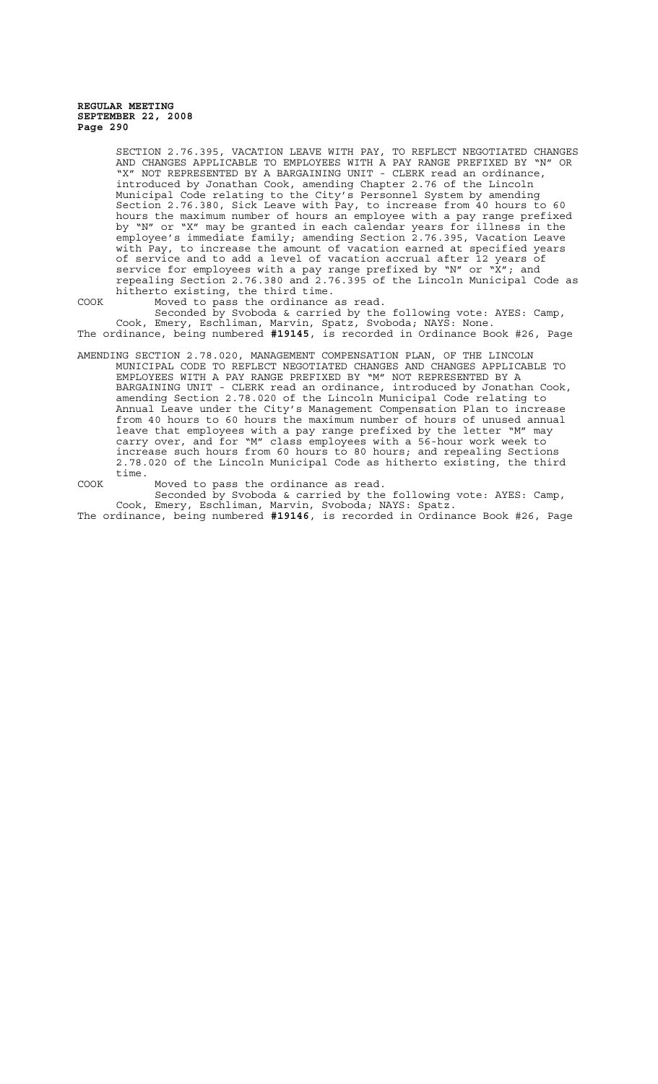SECTION 2.76.395, VACATION LEAVE WITH PAY, TO REFLECT NEGOTIATED CHANGES AND CHANGES APPLICABLE TO EMPLOYEES WITH A PAY RANGE PREFIXED BY "N" OR "X" NOT REPRESENTED BY A BARGAINING UNIT - CLERK read an ordinance, introduced by Jonathan Cook, amending Chapter 2.76 of the Lincoln Municipal Code relating to the City's Personnel System by amending Section 2.76.380, Sick Leave with Pay, to increase from 40 hours to 60 hours the maximum number of hours an employee with a pay range prefixed by "N" or "X" may be granted in each calendar years for illness in the employee's immediate family; amending Section 2.76.395, Vacation Leave with Pay, to increase the amount of vacation earned at specified years of service and to add a level of vacation accrual after 12 years of service for employees with a pay range prefixed by "N" or "X"; and repealing Section 2.76.380 and 2.76.395 of the Lincoln Municipal Code as hitherto existing, the third time.

COOK Moved to pass the ordinance as read.

Seconded by Svoboda & carried by the following vote: AYES: Camp, Cook, Emery, Eschliman, Marvin, Spatz, Svoboda; NAYS: None. The ordinance, being numbered **#19145**, is recorded in Ordinance Book #26, Page

- AMENDING SECTION 2.78.020, MANAGEMENT COMPENSATION PLAN, OF THE LINCOLN MUNICIPAL CODE TO REFLECT NEGOTIATED CHANGES AND CHANGES APPLICABLE TO EMPLOYEES WITH A PAY RANGE PREFIXED BY "M" NOT REPRESENTED BY A BARGAINING UNIT - CLERK read an ordinance, introduced by Jonathan Cook, amending Section 2.78.020 of the Lincoln Municipal Code relating to Annual Leave under the City's Management Compensation Plan to increase from 40 hours to 60 hours the maximum number of hours of unused annual leave that employees with a pay range prefixed by the letter "M" may carry over, and for "M" class employees with a 56-hour work week to increase such hours from 60 hours to 80 hours; and repealing Sections 2.78.020 of the Lincoln Municipal Code as hitherto existing, the third time.
- COOK Moved to pass the ordinance as read. Seconded by Svoboda & carried by the following vote: AYES: Camp, Cook, Emery, Eschliman, Marvin, Svoboda; NAYS: Spatz. The ordinance, being numbered **#19146**, is recorded in Ordinance Book #26, Page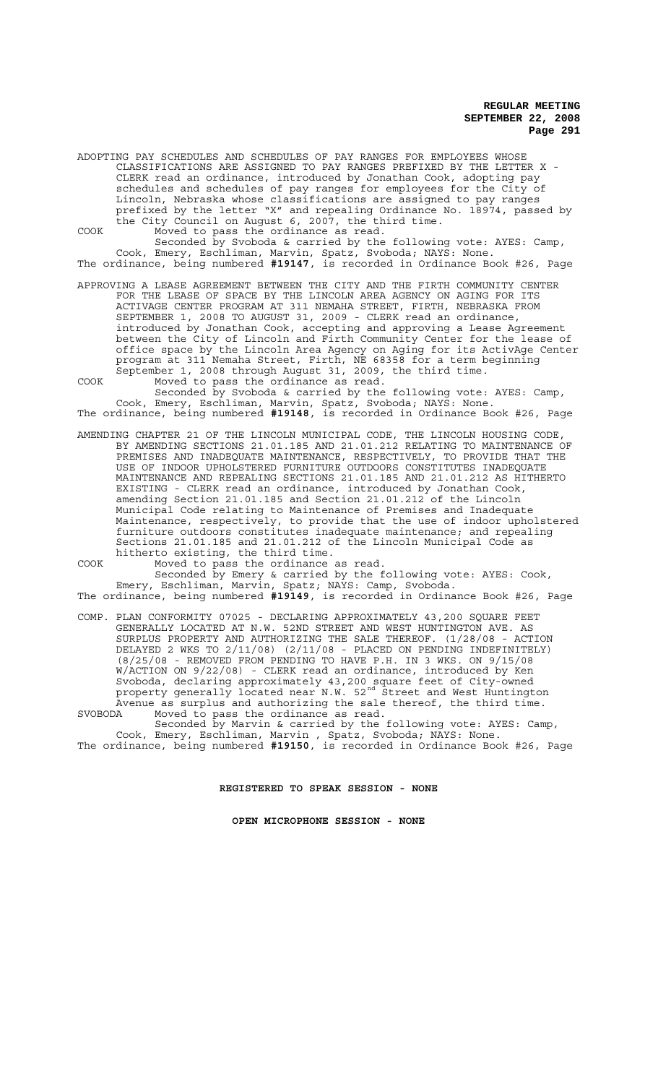ADOPTING PAY SCHEDULES AND SCHEDULES OF PAY RANGES FOR EMPLOYEES WHOSE CLASSIFICATIONS ARE ASSIGNED TO PAY RANGES PREFIXED BY THE LETTER X - CLERK read an ordinance, introduced by Jonathan Cook, adopting pay schedules and schedules of pay ranges for employees for the City of Lincoln, Nebraska whose classifications are assigned to pay ranges prefixed by the letter "X" and repealing Ordinance No. 18974, passed by the City Council on August 6, 2007, the third time. COOK Moved to pass the ordinance as read.

Seconded by Svoboda & carried by the following vote: AYES: Camp, Cook, Emery, Eschliman, Marvin, Spatz, Svoboda; NAYS: None. The ordinance, being numbered **#19147**, is recorded in Ordinance Book #26, Page

- APPROVING A LEASE AGREEMENT BETWEEN THE CITY AND THE FIRTH COMMUNITY CENTER FOR THE LEASE OF SPACE BY THE LINCOLN AREA AGENCY ON AGING FOR ITS ACTIVAGE CENTER PROGRAM AT 311 NEMAHA STREET, FIRTH, NEBRASKA FROM SEPTEMBER 1, 2008 TO AUGUST 31, 2009 - CLERK read an ordinance, introduced by Jonathan Cook, accepting and approving a Lease Agreement between the City of Lincoln and Firth Community Center for the lease of office space by the Lincoln Area Agency on Aging for its ActivAge Center program at 311 Nemaha Street, Firth, NE 68358 for a term beginning September 1, 2008 through August 31, 2009, the third time. COOK Moved to pass the ordinance as read.
- Seconded by Svoboda & carried by the following vote: AYES: Camp, Cook, Emery, Eschliman, Marvin, Spatz, Svoboda; NAYS: None. The ordinance, being numbered **#19148**, is recorded in Ordinance Book #26, Page
- AMENDING CHAPTER 21 OF THE LINCOLN MUNICIPAL CODE, THE LINCOLN HOUSING CODE, BY AMENDING SECTIONS 21.01.185 AND 21.01.212 RELATING TO MAINTENANCE OF PREMISES AND INADEQUATE MAINTENANCE, RESPECTIVELY, TO PROVIDE THAT THE USE OF INDOOR UPHOLSTERED FURNITURE OUTDOORS CONSTITUTES INADEQUATE MAINTENANCE AND REPEALING SECTIONS 21.01.185 AND 21.01.212 AS HITHERTO EXISTING - CLERK read an ordinance, introduced by Jonathan Cook, amending Section 21.01.185 and Section 21.01.212 of the Lincoln Municipal Code relating to Maintenance of Premises and Inadequate Maintenance, respectively, to provide that the use of indoor upholstered furniture outdoors constitutes inadequate maintenance; and repealing Sections 21.01.185 and 21.01.212 of the Lincoln Municipal Code as hitherto existing, the third time.
- COOK Moved to pass the ordinance as read. Seconded by Emery & carried by the following vote: AYES: Cook, Emery, Eschliman, Marvin, Spatz; NAYS: Camp, Svoboda.
- The ordinance, being numbered **#19149**, is recorded in Ordinance Book #26, Page
- COMP. PLAN CONFORMITY 07025 DECLARING APPROXIMATELY 43,200 SQUARE FEET GENERALLY LOCATED AT N.W. 52ND STREET AND WEST HUNTINGTON AVE. AS SURPLUS PROPERTY AND AUTHORIZING THE SALE THEREOF. (1/28/08 - ACTION DELAYED 2 WKS TO 2/11/08) (2/11/08 - PLACED ON PENDING INDEFINITELY) (8/25/08 - REMOVED FROM PENDING TO HAVE P.H. IN 3 WKS. ON 9/15/08 W/ACTION ON 9/22/08) - CLERK read an ordinance, introduced by Ken Svoboda, declaring approximately 43,200 square feet of City-owned property generally located near N.W. 52<sup>nd</sup> Street and West Huntington Avenue as surplus and authorizing the sale thereof, the third time. SVOBODA Moved to pass the ordinance as read.
- Seconded by Marvin & carried by the following vote: AYES: Camp, Cook, Emery, Eschliman, Marvin , Spatz, Svoboda; NAYS: None.
- The ordinance, being numbered **#19150**, is recorded in Ordinance Book #26, Page

**REGISTERED TO SPEAK SESSION - NONE**

**OPEN MICROPHONE SESSION - NONE**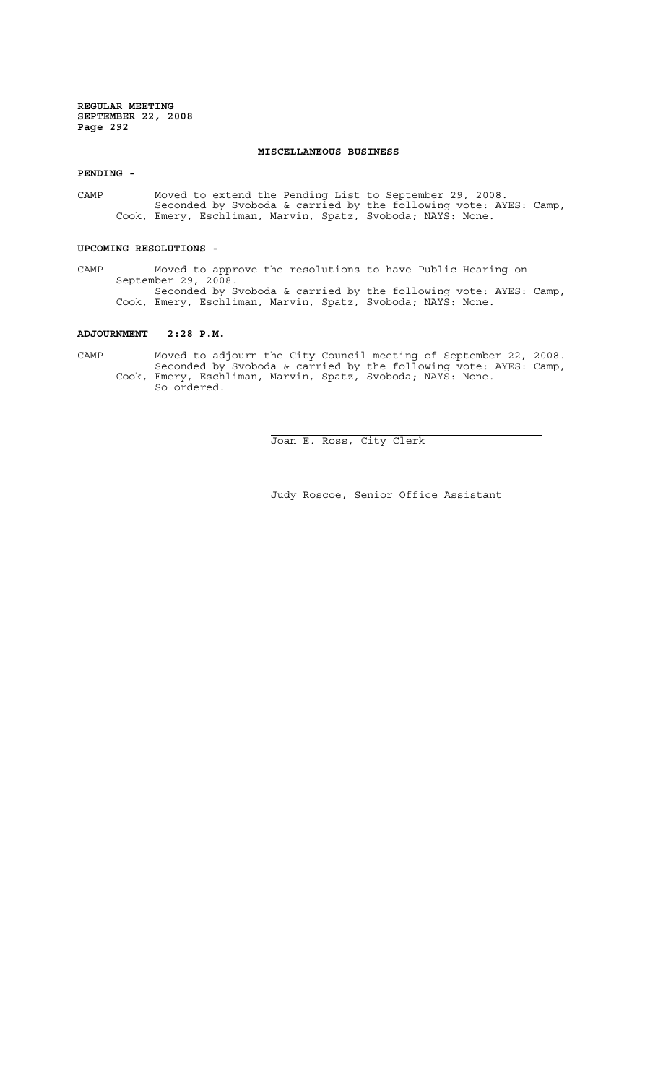# **MISCELLANEOUS BUSINESS**

**PENDING -**

CAMP Moved to extend the Pending List to September 29, 2008. Seconded by Svoboda & carried by the following vote: AYES: Camp, Cook, Emery, Eschliman, Marvin, Spatz, Svoboda; NAYS: None.

#### **UPCOMING RESOLUTIONS -**

CAMP Moved to approve the resolutions to have Public Hearing on September 29, 2008. Seconded by Svoboda & carried by the following vote: AYES: Camp, Cook, Emery, Eschliman, Marvin, Spatz, Svoboda; NAYS: None.

# **ADJOURNMENT 2:28 P.M.**

CAMP Moved to adjourn the City Council meeting of September 22, 2008. Seconded by Svoboda & carried by the following vote: AYES: Camp, Cook, Emery, Eschliman, Marvin, Spatz, Svoboda; NAYS: None. So ordered.

 $\overline{a}$ 

i

Joan E. Ross, City Clerk

Judy Roscoe, Senior Office Assistant